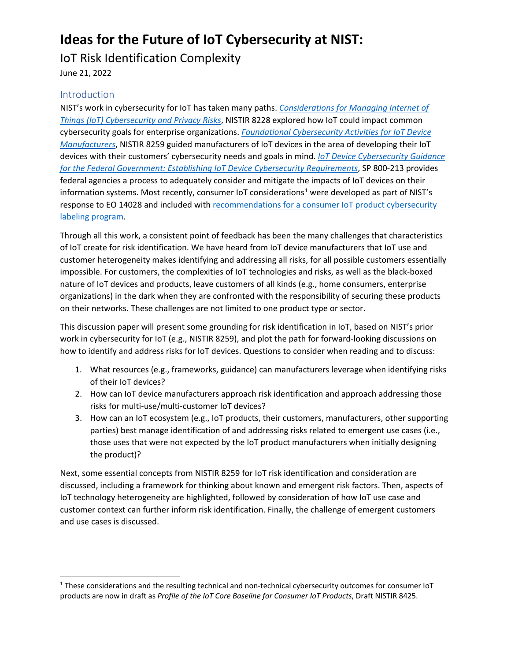# **Ideas for the Future of IoT Cybersecurity at NIST:**

## IoT Risk Identification Complexity

June 21, 2022

### **Introduction**

 $\overline{a}$ 

NIST's work in cybersecurity for IoT has taken many paths. *[Considerations for Managing Internet of](https://nvlpubs.nist.gov/nistpubs/ir/2019/NIST.IR.8228.pdf)  [Things \(IoT\) Cybersecurity and Privacy Risks](https://nvlpubs.nist.gov/nistpubs/ir/2019/NIST.IR.8228.pdf)*, NISTIR 8228 explored how IoT could impact common cybersecurity goals for enterprise organizations. *[Foundational Cybersecurity Activities for IoT Device](https://nvlpubs.nist.gov/nistpubs/ir/2020/NIST.IR.8259.pdf)  [Manufacturers](https://nvlpubs.nist.gov/nistpubs/ir/2020/NIST.IR.8259.pdf)*, NISTIR 8259 guided manufacturers of IoT devices in the area of developing their IoT devices with their customers' cybersecurity needs and goals in mind. *[IoT Device Cybersecurity Guidance](https://nvlpubs.nist.gov/nistpubs/SpecialPublications/NIST.SP.800-213.pdf)  [for the Federal Government: Establishing IoT Device Cybersecurity Requirements](https://nvlpubs.nist.gov/nistpubs/SpecialPublications/NIST.SP.800-213.pdf)*, SP 800-213 provides federal agencies a process to adequately consider and mitigate the impacts of IoT devices on their information systems. Most recently, consumer IoT considerations<sup>[1](#page-0-0)</sup> were developed as part of NIST's response to EO 14028 and included with [recommendations for a consumer IoT product](https://nvlpubs.nist.gov/nistpubs/CSWP/NIST.CSWP.02042022-2.pdf) cybersecurity [labeling program.](https://nvlpubs.nist.gov/nistpubs/CSWP/NIST.CSWP.02042022-2.pdf)

Through all this work, a consistent point of feedback has been the many challenges that characteristics of IoT create for risk identification. We have heard from IoT device manufacturers that IoT use and customer heterogeneity makes identifying and addressing all risks, for all possible customers essentially impossible. For customers, the complexities of IoT technologies and risks, as well as the black-boxed nature of IoT devices and products, leave customers of all kinds (e.g., home consumers, enterprise organizations) in the dark when they are confronted with the responsibility of securing these products on their networks. These challenges are not limited to one product type or sector.

This discussion paper will present some grounding for risk identification in IoT, based on NIST's prior work in cybersecurity for IoT (e.g., NISTIR 8259), and plot the path for forward-looking discussions on how to identify and address risks for IoT devices. Questions to consider when reading and to discuss:

- 1. What resources (e.g., frameworks, guidance) can manufacturers leverage when identifying risks of their IoT devices?
- 2. How can IoT device manufacturers approach risk identification and approach addressing those risks for multi-use/multi-customer IoT devices?
- 3. How can an IoT ecosystem (e.g., IoT products, their customers, manufacturers, other supporting parties) best manage identification of and addressing risks related to emergent use cases (i.e., those uses that were not expected by the IoT product manufacturers when initially designing the product)?

Next, some essential concepts from NISTIR 8259 for IoT risk identification and consideration are discussed, including a framework for thinking about known and emergent risk factors. Then, aspects of IoT technology heterogeneity are highlighted, followed by consideration of how IoT use case and customer context can further inform risk identification. Finally, the challenge of emergent customers and use cases is discussed.

<span id="page-0-0"></span> $1$  These considerations and the resulting technical and non-technical cybersecurity outcomes for consumer IoT products are now in draft as *Profile of the IoT Core Baseline for Consumer IoT Products*, Draft NISTIR 8425.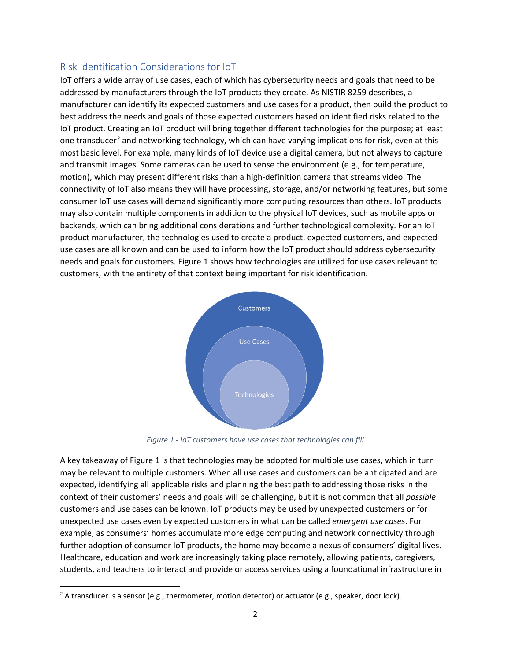## Risk Identification Considerations for IoT

IoT offers a wide array of use cases, each of which has cybersecurity needs and goals that need to be addressed by manufacturers through the IoT products they create. As NISTIR 8259 describes, a manufacturer can identify its expected customers and use cases for a product, then build the product to best address the needs and goals of those expected customers based on identified risks related to the IoT product. Creating an IoT product will bring together different technologies for the purpose; at least one transducer<sup>[2](#page-1-0)</sup> and networking technology, which can have varying implications for risk, even at this most basic level. For example, many kinds of IoT device use a digital camera, but not always to capture and transmit images. Some cameras can be used to sense the environment (e.g., for temperature, motion), which may present different risks than a high-definition camera that streams video. The connectivity of IoT also means they will have processing, storage, and/or networking features, but some consumer IoT use cases will demand significantly more computing resources than others. IoT products may also contain multiple components in addition to the physical IoT devices, such as mobile apps or backends, which can bring additional considerations and further technological complexity. For an IoT product manufacturer, the technologies used to create a product, expected customers, and expected use cases are all known and can be used to inform how the IoT product should address cybersecurity needs and goals for customers. Figure 1 shows how technologies are utilized for use cases relevant to customers, with the entirety of that context being important for risk identification.



*Figure 1 - IoT customers have use cases that technologies can fill*

A key takeaway of Figure 1 is that technologies may be adopted for multiple use cases, which in turn may be relevant to multiple customers. When all use cases and customers can be anticipated and are expected, identifying all applicable risks and planning the best path to addressing those risks in the context of their customers' needs and goals will be challenging, but it is not common that all *possible*  customers and use cases can be known. IoT products may be used by unexpected customers or for unexpected use cases even by expected customers in what can be called *emergent use cases*. For example, as consumers' homes accumulate more edge computing and network connectivity through further adoption of consumer IoT products, the home may become a nexus of consumers' digital lives. Healthcare, education and work are increasingly taking place remotely, allowing patients, caregivers, students, and teachers to interact and provide or access services using a foundational infrastructure in

<span id="page-1-0"></span> $\overline{\phantom{a}}$ <sup>2</sup> A transducer Is a sensor (e.g., thermometer, motion detector) or actuator (e.g., speaker, door lock).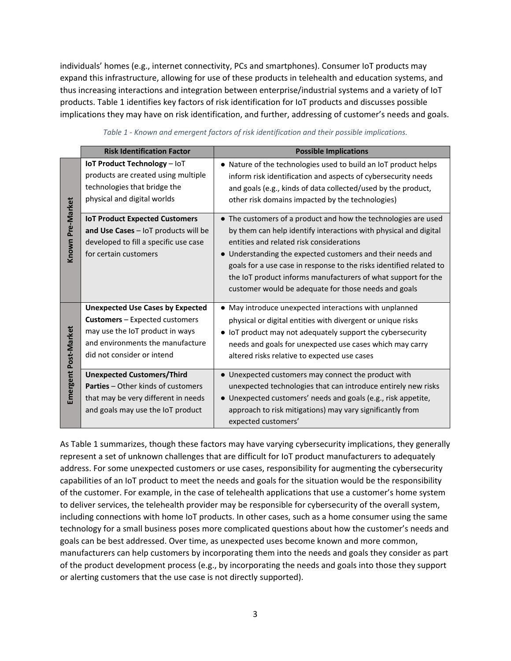individuals' homes (e.g., internet connectivity, PCs and smartphones). Consumer IoT products may expand this infrastructure, allowing for use of these products in telehealth and education systems, and thus increasing interactions and integration between enterprise/industrial systems and a variety of IoT products. Table 1 identifies key factors of risk identification for IoT products and discusses possible implications they may have on risk identification, and further, addressing of customer's needs and goals.

|                      | <b>Risk Identification Factor</b>                                                                                                                                                     | <b>Possible Implications</b>                                                                                                                                                                                                                                                                                                                                                                                                                 |
|----------------------|---------------------------------------------------------------------------------------------------------------------------------------------------------------------------------------|----------------------------------------------------------------------------------------------------------------------------------------------------------------------------------------------------------------------------------------------------------------------------------------------------------------------------------------------------------------------------------------------------------------------------------------------|
| Known Pre-Market     | <b>IoT Product Technology - IoT</b><br>products are created using multiple<br>technologies that bridge the<br>physical and digital worlds                                             | • Nature of the technologies used to build an IoT product helps<br>inform risk identification and aspects of cybersecurity needs<br>and goals (e.g., kinds of data collected/used by the product,<br>other risk domains impacted by the technologies)                                                                                                                                                                                        |
|                      | <b>IoT Product Expected Customers</b><br>and Use Cases - IoT products will be<br>developed to fill a specific use case<br>for certain customers                                       | • The customers of a product and how the technologies are used<br>by them can help identify interactions with physical and digital<br>entities and related risk considerations<br>• Understanding the expected customers and their needs and<br>goals for a use case in response to the risks identified related to<br>the IoT product informs manufacturers of what support for the<br>customer would be adequate for those needs and goals |
| Emergent Post-Market | <b>Unexpected Use Cases by Expected</b><br><b>Customers</b> – Expected customers<br>may use the IoT product in ways<br>and environments the manufacture<br>did not consider or intend | • May introduce unexpected interactions with unplanned<br>physical or digital entities with divergent or unique risks<br>• IoT product may not adequately support the cybersecurity<br>needs and goals for unexpected use cases which may carry<br>altered risks relative to expected use cases                                                                                                                                              |
|                      | <b>Unexpected Customers/Third</b><br><b>Parties - Other kinds of customers</b><br>that may be very different in needs<br>and goals may use the IoT product                            | • Unexpected customers may connect the product with<br>unexpected technologies that can introduce entirely new risks<br>• Unexpected customers' needs and goals (e.g., risk appetite,<br>approach to risk mitigations) may vary significantly from<br>expected customers'                                                                                                                                                                    |

*Table 1 - Known and emergent factors of risk identification and their possible implications.*

As Table 1 summarizes, though these factors may have varying cybersecurity implications, they generally represent a set of unknown challenges that are difficult for IoT product manufacturers to adequately address. For some unexpected customers or use cases, responsibility for augmenting the cybersecurity capabilities of an IoT product to meet the needs and goals for the situation would be the responsibility of the customer. For example, in the case of telehealth applications that use a customer's home system to deliver services, the telehealth provider may be responsible for cybersecurity of the overall system, including connections with home IoT products. In other cases, such as a home consumer using the same technology for a small business poses more complicated questions about how the customer's needs and goals can be best addressed. Over time, as unexpected uses become known and more common, manufacturers can help customers by incorporating them into the needs and goals they consider as part of the product development process (e.g., by incorporating the needs and goals into those they support or alerting customers that the use case is not directly supported).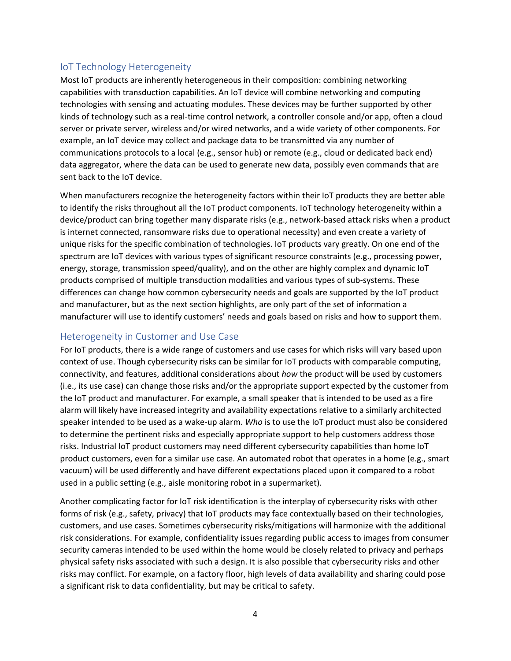## IoT Technology Heterogeneity

Most IoT products are inherently heterogeneous in their composition: combining networking capabilities with transduction capabilities. An IoT device will combine networking and computing technologies with sensing and actuating modules. These devices may be further supported by other kinds of technology such as a real-time control network, a controller console and/or app, often a cloud server or private server, wireless and/or wired networks, and a wide variety of other components. For example, an IoT device may collect and package data to be transmitted via any number of communications protocols to a local (e.g., sensor hub) or remote (e.g., cloud or dedicated back end) data aggregator, where the data can be used to generate new data, possibly even commands that are sent back to the IoT device.

When manufacturers recognize the heterogeneity factors within their IoT products they are better able to identify the risks throughout all the IoT product components. IoT technology heterogeneity within a device/product can bring together many disparate risks (e.g., network-based attack risks when a product is internet connected, ransomware risks due to operational necessity) and even create a variety of unique risks for the specific combination of technologies. IoT products vary greatly. On one end of the spectrum are IoT devices with various types of significant resource constraints (e.g., processing power, energy, storage, transmission speed/quality), and on the other are highly complex and dynamic IoT products comprised of multiple transduction modalities and various types of sub-systems. These differences can change how common cybersecurity needs and goals are supported by the IoT product and manufacturer, but as the next section highlights, are only part of the set of information a manufacturer will use to identify customers' needs and goals based on risks and how to support them.

## Heterogeneity in Customer and Use Case

For IoT products, there is a wide range of customers and use cases for which risks will vary based upon context of use. Though cybersecurity risks can be similar for IoT products with comparable computing, connectivity, and features, additional considerations about *how* the product will be used by customers (i.e., its use case) can change those risks and/or the appropriate support expected by the customer from the IoT product and manufacturer. For example, a small speaker that is intended to be used as a fire alarm will likely have increased integrity and availability expectations relative to a similarly architected speaker intended to be used as a wake-up alarm. *Who* is to use the IoT product must also be considered to determine the pertinent risks and especially appropriate support to help customers address those risks. Industrial IoT product customers may need different cybersecurity capabilities than home IoT product customers, even for a similar use case. An automated robot that operates in a home (e.g., smart vacuum) will be used differently and have different expectations placed upon it compared to a robot used in a public setting (e.g., aisle monitoring robot in a supermarket).

Another complicating factor for IoT risk identification is the interplay of cybersecurity risks with other forms of risk (e.g., safety, privacy) that IoT products may face contextually based on their technologies, customers, and use cases. Sometimes cybersecurity risks/mitigations will harmonize with the additional risk considerations. For example, confidentiality issues regarding public access to images from consumer security cameras intended to be used within the home would be closely related to privacy and perhaps physical safety risks associated with such a design. It is also possible that cybersecurity risks and other risks may conflict. For example, on a factory floor, high levels of data availability and sharing could pose a significant risk to data confidentiality, but may be critical to safety.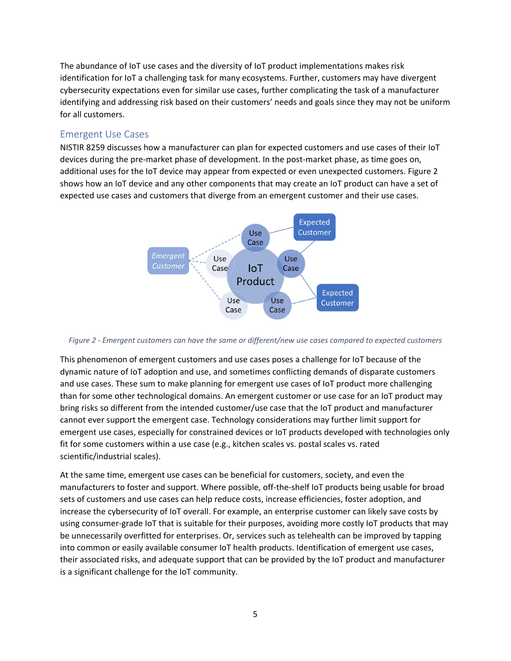The abundance of IoT use cases and the diversity of IoT product implementations makes risk identification for IoT a challenging task for many ecosystems. Further, customers may have divergent cybersecurity expectations even for similar use cases, further complicating the task of a manufacturer identifying and addressing risk based on their customers' needs and goals since they may not be uniform for all customers.

#### Emergent Use Cases

NISTIR 8259 discusses how a manufacturer can plan for expected customers and use cases of their IoT devices during the pre-market phase of development. In the post-market phase, as time goes on, additional uses for the IoT device may appear from expected or even unexpected customers. Figure 2 shows how an IoT device and any other components that may create an IoT product can have a set of expected use cases and customers that diverge from an emergent customer and their use cases.



*Figure 2 - Emergent customers can have the same or different/new use cases compared to expected customers*

This phenomenon of emergent customers and use cases poses a challenge for IoT because of the dynamic nature of IoT adoption and use, and sometimes conflicting demands of disparate customers and use cases. These sum to make planning for emergent use cases of IoT product more challenging than for some other technological domains. An emergent customer or use case for an IoT product may bring risks so different from the intended customer/use case that the IoT product and manufacturer cannot ever support the emergent case. Technology considerations may further limit support for emergent use cases, especially for constrained devices or IoT products developed with technologies only fit for some customers within a use case (e.g., kitchen scales vs. postal scales vs. rated scientific/industrial scales).

At the same time, emergent use cases can be beneficial for customers, society, and even the manufacturers to foster and support. Where possible, off-the-shelf IoT products being usable for broad sets of customers and use cases can help reduce costs, increase efficiencies, foster adoption, and increase the cybersecurity of IoT overall. For example, an enterprise customer can likely save costs by using consumer-grade IoT that is suitable for their purposes, avoiding more costly IoT products that may be unnecessarily overfitted for enterprises. Or, services such as telehealth can be improved by tapping into common or easily available consumer IoT health products. Identification of emergent use cases, their associated risks, and adequate support that can be provided by the IoT product and manufacturer is a significant challenge for the IoT community.